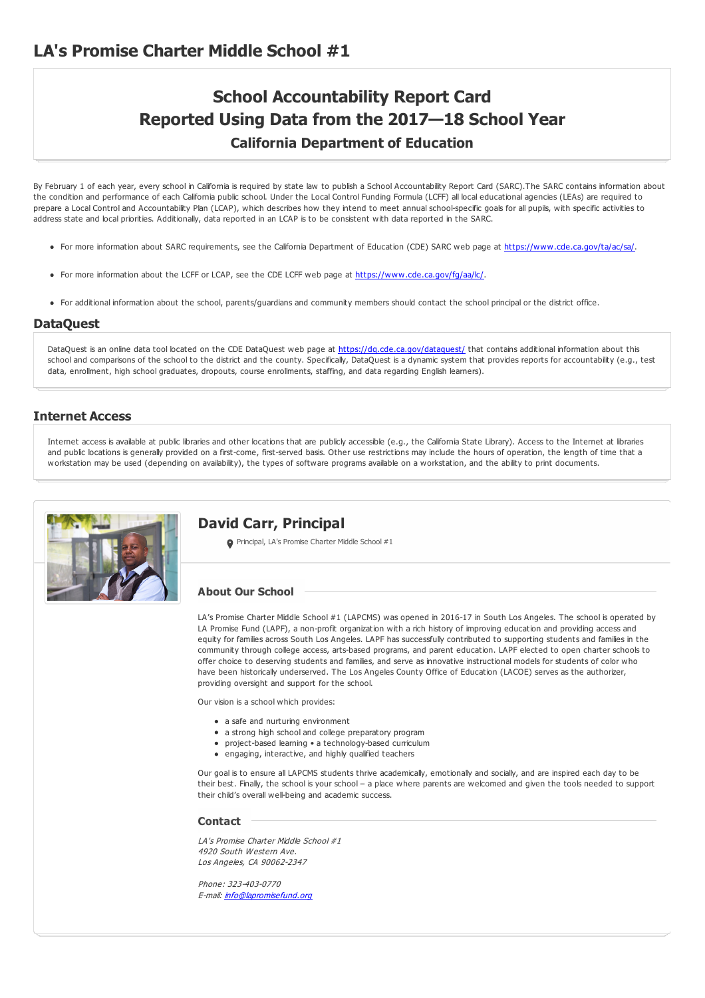# **School Accountability Report Card Reported Using Data from the 2017—18 School Year California Department of Education**

By February 1 of each year, every school in California is required by state law to publish a School Accountability Report Card (SARC).The SARC contains information about the condition and performance of each California public school. Under the Local Control Funding Formula (LCFF) all local educational agencies (LEAs) are required to prepare a Local Control and Accountability Plan (LCAP), which describes how they intend to meet annual school-specific goals for all pupils, with specific activities to address state and local priorities. Additionally, data reported in an LCAP is to be consistent with data reported in the SARC.

- For more information about SARC requirements, see the California Department of Education (CDE) SARC web page at <https://www.cde.ca.gov/ta/ac/sa/>.
- For more information about the LCFF or LCAP, see the CDE LCFF web page at <https://www.cde.ca.gov/fg/aa/lc/>.
- For additional information about the school, parents/guardians and community members should contact the school principal or the district office.

### **DataQuest**

DataQuest is an online data tool located on the CDE DataQuest web page at <https://dq.cde.ca.gov/dataquest/> that contains additional information about this school and comparisons of the school to the district and the county. Specifically, DataQuest is a dynamic system that provides reports for accountability (e.g., test data, enrollment, high school graduates, dropouts, course enrollments, staffing, and data regarding English learners).

### **Internet Access**

Internet access is available at public libraries and other locations that are publicly accessible (e.g., the California State Library). Access to the Internet at libraries and public locations is generally provided on a first-come, first-served basis. Other use restrictions may include the hours of operation, the length of time that a workstation may be used (depending on availability), the types of software programs available on a workstation, and the ability to print documents.



### **David Carr, Principal**

**O** Principal, LA's Promise Charter Middle School #1

### **About Our School**

LA's Promise Charter Middle School #1 (LAPCMS) was opened in 2016-17 in South Los Angeles. The school is operated by LA Promise Fund (LAPF), a non-profit organization with a rich history of improving education and providing access and equity for families across South Los Angeles. LAPF has successfully contributed to supporting students and families in the community through college access, arts-based programs, and parent education. LAPF elected to open charter schools to offer choice to deserving students and families, and serve as innovative instructional models for students of color who have been historically underserved. The Los Angeles County Office of Education (LACOE) serves as the authorizer, providing oversight and support for the school.

Our vision is a school which provides:

- a safe and nurturing environment
- a strong high school and college preparatory program
- project-based learning a technology-based curriculum
- engaging, interactive, and highly qualified teachers

Our goal is to ensure all LAPCMS students thrive academically, emotionally and socially, and are inspired each day to be their best. Finally, the school is your school – a place where parents are welcomed and given the tools needed to support their child's overall well-being and academic success.

#### **Contact**

LA's Promise Charter Middle School #1 4920 South Western Ave. Los Angeles, CA 90062-2347

Phone: 323-403-0770 E-mail: [info@lapromisefund.org](mailto:info@lapromisefund.org)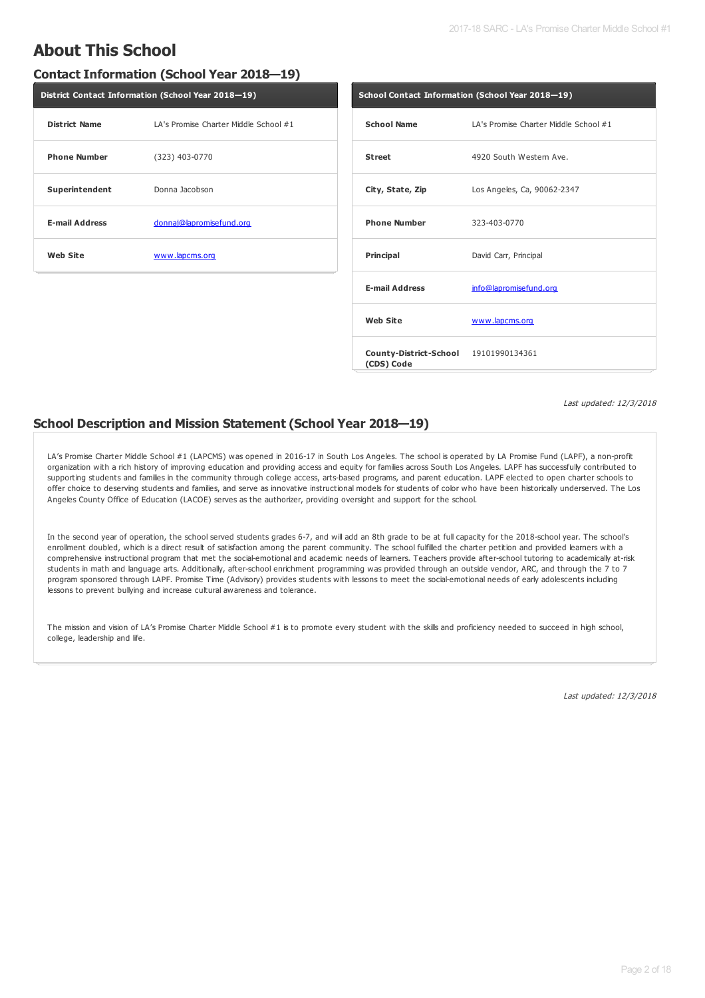## **About This School**

### **Contact Information (School Year 2018—19)**

| District Contact Information (School Year 2018-19) |                                       |  |  |  |
|----------------------------------------------------|---------------------------------------|--|--|--|
| <b>District Name</b>                               | LA's Promise Charter Middle School #1 |  |  |  |
| <b>Phone Number</b>                                | $(323)$ 403-0770                      |  |  |  |
| Superintendent                                     | Donna Jacobson                        |  |  |  |
| <b>E-mail Address</b>                              | donnaj@lapromisefund.org              |  |  |  |
| Web Site                                           | www.lapcms.org                        |  |  |  |

|                                                     | School Contact Information (School Year 2018-19) |  |  |  |  |
|-----------------------------------------------------|--------------------------------------------------|--|--|--|--|
| <b>School Name</b>                                  | LA's Promise Charter Middle School #1            |  |  |  |  |
| <b>Street</b>                                       | 4920 South Western Ave.                          |  |  |  |  |
| City, State, Zip                                    | Los Angeles, Ca, 90062-2347                      |  |  |  |  |
| <b>Phone Number</b>                                 | 323-403-0770                                     |  |  |  |  |
| <b>Principal</b>                                    | David Carr, Principal                            |  |  |  |  |
| <b>E-mail Address</b>                               | info@lapromisefund.org                           |  |  |  |  |
| Web Site                                            | www.lapcms.org                                   |  |  |  |  |
| County-District-School 19101990134361<br>(CDS) Code |                                                  |  |  |  |  |

Last updated: 12/3/2018

### **School Description and Mission Statement (School Year 2018—19)**

LA's Promise Charter Middle School #1 (LAPCMS) was opened in 2016-17 in South Los Angeles. The school is operated by LA Promise Fund (LAPF), a non-profit organization with a rich history of improving education and providing access and equity for families across South Los Angeles. LAPF has successfully contributed to supporting students and families in the community through college access, arts-based programs, and parent education. LAPF elected to open charter schools to offer choice to deserving students and families, and serve as innovative instructional models for students of color who have been historically underserved. The Los Angeles County Office of Education (LACOE) serves as the authorizer, providing oversight and support for the school.

In the second year of operation, the school served students grades 6-7, and will add an 8th grade to be at full capacity for the 2018-school year. The school's enrollment doubled, which is a direct result of satisfaction among the parent community. The school fulfilled the charter petition and provided learners with a comprehensive instructional program that met the social-emotional and academic needs of learners. Teachers provide after-school tutoring to academically at-risk students in math and language arts. Additionally, after-school enrichment programming was provided through an outside vendor, ARC, and through the 7 to 7 program sponsored through LAPF. Promise Time (Advisory) provides students with lessons to meet the social-emotional needs of early adolescents including lessons to prevent bullying and increase cultural awareness and tolerance.

The mission and vision of LA's Promise Charter Middle School #1 is to promote every student with the skills and proficiency needed to succeed in high school, college, leadership and life.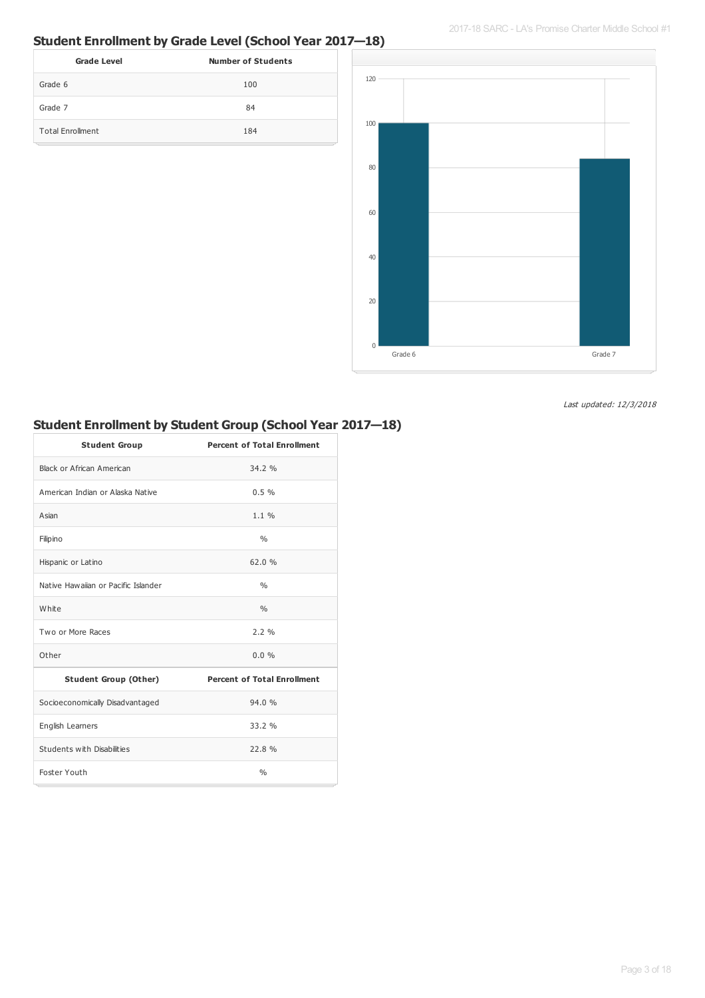2017-18 SARC - LA's Promise Charter Middle School #1

## **Student Enrollment by Grade Level (School Year 2017—18)**

| <b>Grade Level</b>      | <b>Number of Students</b> |
|-------------------------|---------------------------|
| Grade 6                 | 100                       |
| Grade 7                 | 84                        |
| <b>Total Enrollment</b> | 184                       |



Last updated: 12/3/2018

## **Student Enrollment by Student Group (School Year 2017—18)**

| <b>Student Group</b>                | <b>Percent of Total Enrollment</b> |
|-------------------------------------|------------------------------------|
| Black or African American           | 34.2 %                             |
| American Indian or Alaska Native    | 0.5%                               |
| Asian                               | $1.1 \%$                           |
| Filipino                            | $\frac{0}{0}$                      |
| Hispanic or Latino                  | 62.0%                              |
| Native Hawaijan or Pacific Islander | $\frac{0}{0}$                      |
| White                               | $\frac{0}{0}$                      |
| Two or More Races                   | 2.2%                               |
| Other                               | $0.0\%$                            |
| <b>Student Group (Other)</b>        | <b>Percent of Total Enrollment</b> |
| Socioeconomically Disadvantaged     | 94.0%                              |
| English Learners                    | 33.2 %                             |
| Students with Disabilities          | 22.8%                              |
| Foster Youth                        | $\frac{0}{0}$                      |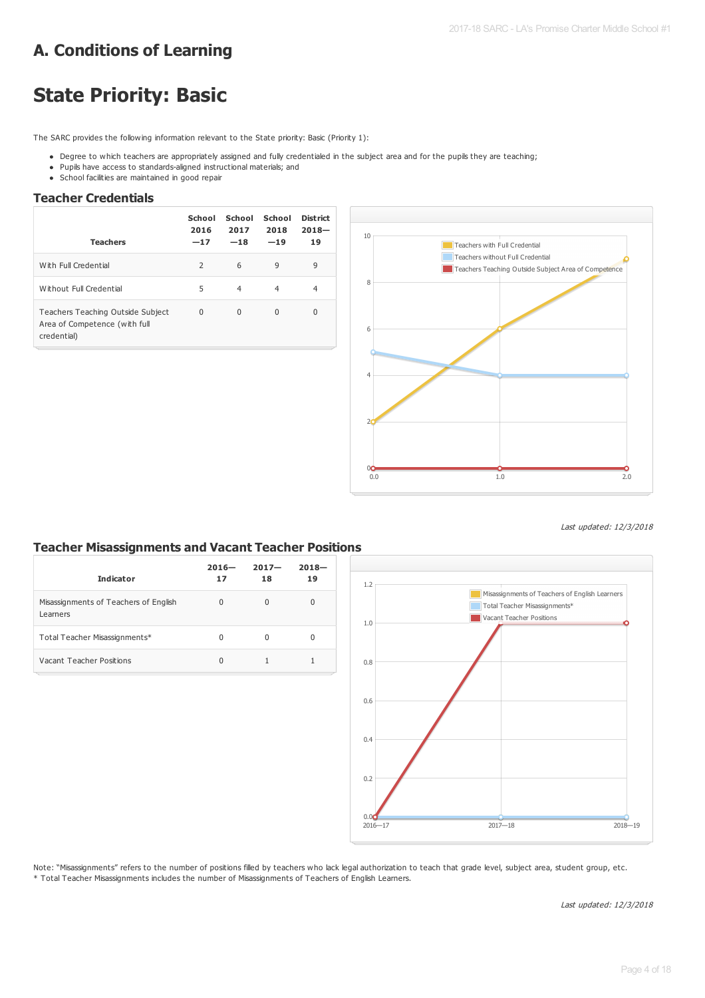# **A. Conditions of Learning**

# **State Priority: Basic**

The SARC provides the following information relevant to the State priority: Basic (Priority 1):

- Degree to which teachers are appropriately assigned and fully credentialed in the subject area and for the pupils they are teaching;
- Pupils have access to standards-aligned instructional materials; and
- School facilities are maintained in good repair

### **Teacher Credentials**

| <b>Teachers</b>                                                                   | School<br>2016<br>$-17$ | School<br>2017<br>$-18$ | School<br>2018<br>$-19$ | District<br>$2018 -$<br>19 |
|-----------------------------------------------------------------------------------|-------------------------|-------------------------|-------------------------|----------------------------|
| With Full Credential                                                              | 2                       | 6                       | 9                       | 9                          |
| Without Full Credential                                                           | 5                       | $\overline{4}$          | $\overline{4}$          | 4                          |
| Teachers Teaching Outside Subject<br>Area of Competence (with full<br>credential) | 0                       | $\Omega$                | $\Omega$                | $\Omega$                   |



Last updated: 12/3/2018

### **Teacher Misassignments and Vacant Teacher Positions**

| <b>Indicator</b>                                  | $2016 -$<br>17 | $2017 -$<br>18 | $2018 -$<br>19 |
|---------------------------------------------------|----------------|----------------|----------------|
| Misassignments of Teachers of English<br>Learners | 0              | $\Omega$       | 0              |
| Total Teacher Misassignments*                     | 0              | O              | 0              |
| Vacant Teacher Positions                          | 0              |                |                |



Note: "Misassignments" refers to the number of positions filled by teachers who lack legal authorization to teach that grade level, subject area, student group, etc. \* Total Teacher Misassignments includes the number of Misassignments of Teachers of English Learners.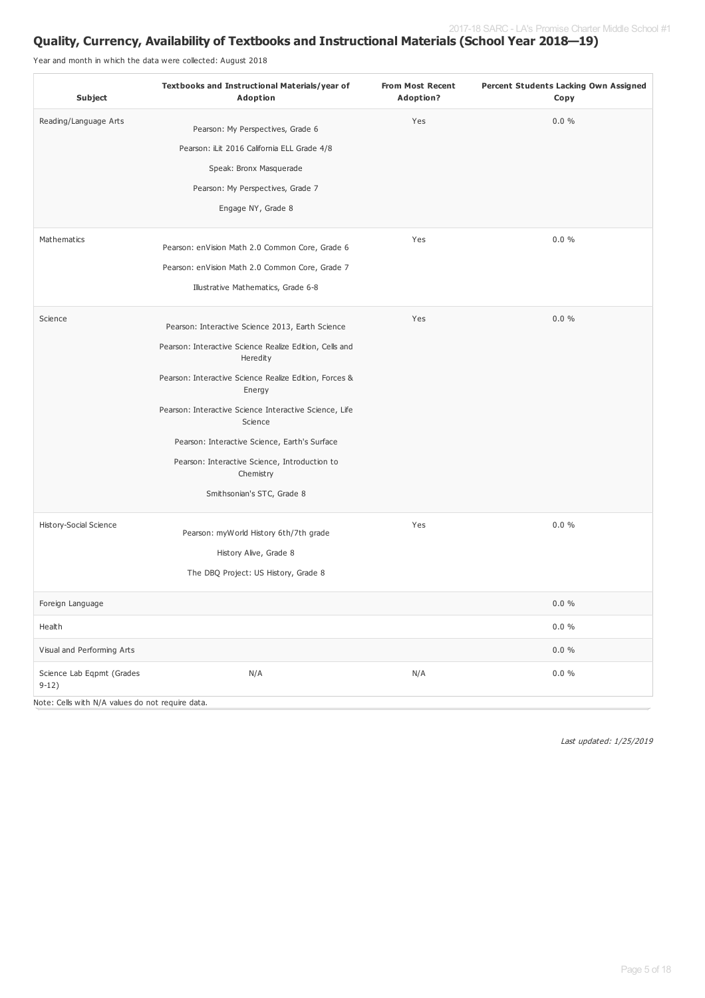## **Quality, Currency, Availability of Textbooks and Instructional Materials (School Year 2018—19)**

Year and month in which the data were collected: August 2018

| Subject                                          | Textbooks and Instructional Materials/year of<br><b>Adoption</b>    | <b>From Most Recent</b><br><b>Adoption?</b> | Percent Students Lacking Own Assigned<br>Copy |
|--------------------------------------------------|---------------------------------------------------------------------|---------------------------------------------|-----------------------------------------------|
| Reading/Language Arts                            | Pearson: My Perspectives, Grade 6                                   | Yes                                         | 0.0%                                          |
|                                                  | Pearson: iLit 2016 California ELL Grade 4/8                         |                                             |                                               |
|                                                  | Speak: Bronx Masquerade                                             |                                             |                                               |
|                                                  | Pearson: My Perspectives, Grade 7                                   |                                             |                                               |
|                                                  | Engage NY, Grade 8                                                  |                                             |                                               |
| Mathematics                                      | Pearson: enVision Math 2.0 Common Core, Grade 6                     | Yes                                         | $0.0 \%$                                      |
|                                                  | Pearson: enVision Math 2.0 Common Core, Grade 7                     |                                             |                                               |
|                                                  | Illustrative Mathematics, Grade 6-8                                 |                                             |                                               |
| Science                                          | Pearson: Interactive Science 2013, Earth Science                    | Yes                                         | 0.0%                                          |
|                                                  | Pearson: Interactive Science Realize Edition, Cells and<br>Heredity |                                             |                                               |
|                                                  | Pearson: Interactive Science Realize Edition, Forces &<br>Energy    |                                             |                                               |
|                                                  | Pearson: Interactive Science Interactive Science, Life<br>Science   |                                             |                                               |
|                                                  | Pearson: Interactive Science, Earth's Surface                       |                                             |                                               |
|                                                  | Pearson: Interactive Science, Introduction to<br>Chemistry          |                                             |                                               |
|                                                  | Smithsonian's STC, Grade 8                                          |                                             |                                               |
| History-Social Science                           | Pearson: myWorld History 6th/7th grade                              | Yes                                         | $0.0 \%$                                      |
|                                                  | History Alive, Grade 8                                              |                                             |                                               |
|                                                  | The DBQ Project: US History, Grade 8                                |                                             |                                               |
| Foreign Language                                 |                                                                     |                                             | $0.0 \%$                                      |
| Health                                           |                                                                     |                                             | $0.0 \%$                                      |
| Visual and Performing Arts                       |                                                                     |                                             | $0.0 \%$                                      |
| Science Lab Eqpmt (Grades<br>$9-12)$             | N/A                                                                 | N/A                                         | $0.0 \%$                                      |
| Note: Cells with N/A values do not require data. |                                                                     |                                             |                                               |

Last updated: 1/25/2019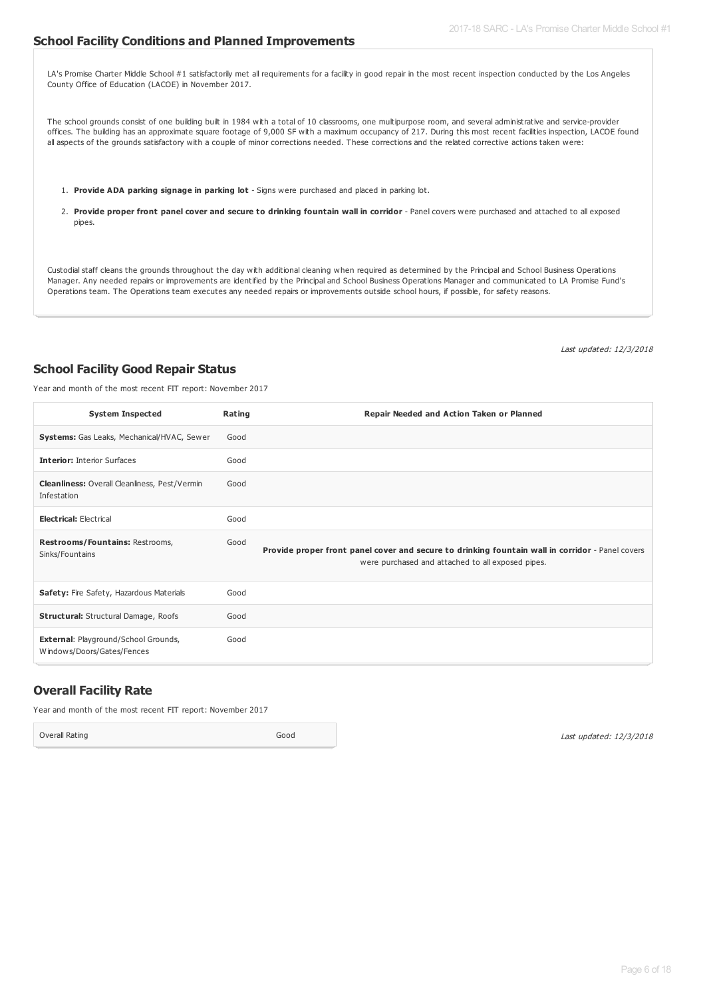#### **School Facility Conditions and Planned Improvements**

LA's Promise Charter Middle School #1 satisfactorily met all requirements for a facility in good repair in the most recent inspection conducted by the Los Angeles County Office of Education (LACOE) in November 2017.

The school grounds consist of one building built in 1984 with a total of 10 classrooms, one multipurpose room, and several administrative and service-provider offices. The building has an approximate square footage of 9,000 SF with a maximum occupancy of 217. During this most recent facilities inspection, LACOE found all aspects of the grounds satisfactory with a couple of minor corrections needed. These corrections and the related corrective actions taken were:

- 1. **Provide ADA parking signage in parking lot** Signs were purchased and placed in parking lot.
- 2. Provide proper front panel cover and secure to drinking fountain wall in corridor Panel covers were purchased and attached to all exposed pipes.

Custodial staff cleans the grounds throughout the day with additional cleaning when required as determined by the Principal and School Business Operations Manager. Any needed repairs or improvements are identified by the Principal and School Business Operations Manager and communicated to LA Promise Fund's Operations team. The Operations team executes any needed repairs or improvements outside school hours, if possible, for safety reasons.

Last updated: 12/3/2018

### **School Facility Good Repair Status**

Year and month of the most recent FIT report: November 2017

| <b>System Inspected</b>                                                   | Rating | Repair Needed and Action Taken or Planned                                                                                                             |
|---------------------------------------------------------------------------|--------|-------------------------------------------------------------------------------------------------------------------------------------------------------|
| Systems: Gas Leaks, Mechanical/HVAC, Sewer                                | Good   |                                                                                                                                                       |
| <b>Interior: Interior Surfaces</b>                                        | Good   |                                                                                                                                                       |
| Cleanliness: Overall Cleanliness, Pest/Vermin<br>Infestation              | Good   |                                                                                                                                                       |
| <b>Electrical: Electrical</b>                                             | Good   |                                                                                                                                                       |
| Restrooms/Fountains: Restrooms,<br>Sinks/Fountains                        | Good   | Provide proper front panel cover and secure to drinking fountain wall in corridor - Panel covers<br>were purchased and attached to all exposed pipes. |
| Safety: Fire Safety, Hazardous Materials                                  | Good   |                                                                                                                                                       |
| <b>Structural:</b> Structural Damage, Roofs                               | Good   |                                                                                                                                                       |
| <b>External: Playground/School Grounds,</b><br>Windows/Doors/Gates/Fences | Good   |                                                                                                                                                       |

### **Overall Facility Rate**

Year and month of the most recent FIT report: November 2017

Overall Rating Good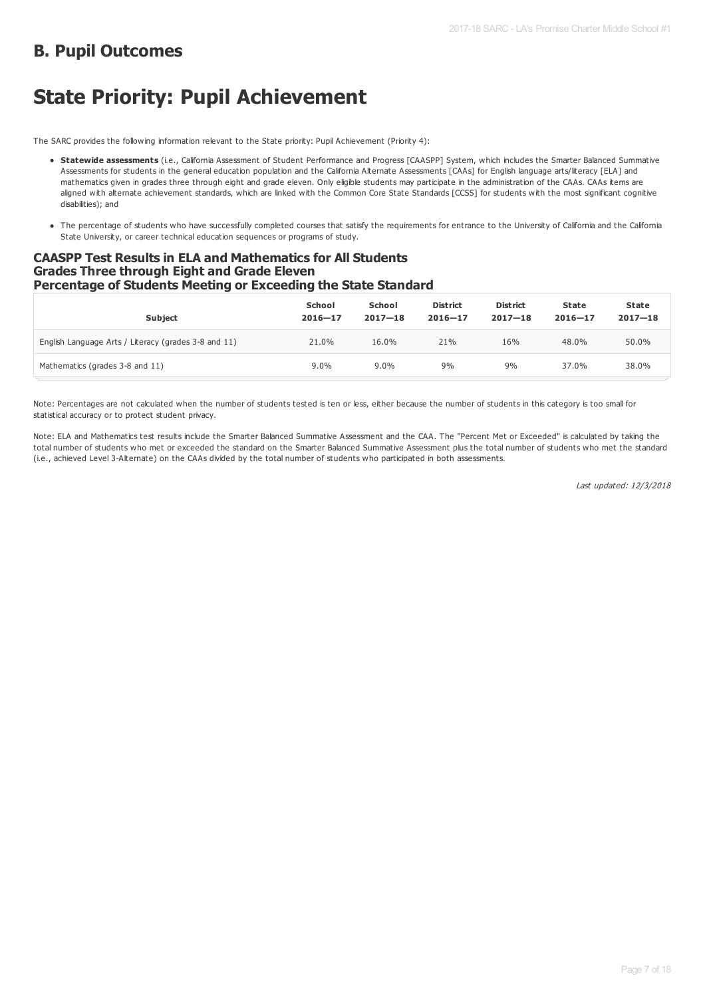## **B. Pupil Outcomes**

# **State Priority: Pupil Achievement**

The SARC provides the following information relevant to the State priority: Pupil Achievement (Priority 4):

- **Statewide assessments** (i.e., California Assessment of Student Performance and Progress [CAASPP] System, which includes the Smarter Balanced Summative Assessments for students in the general education population and the California Alternate Assessments [CAAs] for English language arts/literacy [ELA] and mathematics given in grades three through eight and grade eleven. Only eligible students may participate in the administration of the CAAs. CAAs items are aligned with alternate achievement standards, which are linked with the Common Core State Standards [CCSS] for students with the most significant cognitive disabilities); and
- The percentage of students who have successfully completed courses that satisfy the requirements for entrance to the University of California and the California State University, or career technical education sequences or programs of study.

### **CAASPP Test Results in ELA and Mathematics for All Students Grades Three through Eight and Grade Eleven Percentage of Students Meeting or Exceeding the State Standard**

| <b>Subject</b>                                       | School<br>$2016 - 17$ | School<br>$2017 - 18$ | <b>District</b><br>$2016 - 17$ | <b>District</b><br>$2017 - 18$ | <b>State</b><br>$2016 - 17$ | State<br>$2017 - 18$ |
|------------------------------------------------------|-----------------------|-----------------------|--------------------------------|--------------------------------|-----------------------------|----------------------|
| English Language Arts / Literacy (grades 3-8 and 11) | 21.0%                 | 16.0%                 | 21%                            | 16%                            | 48.0%                       | 50.0%                |
| Mathematics (grades 3-8 and 11)                      | $9.0\%$               | $9.0\%$               | 9%                             | 9%                             | 37.0%                       | 38.0%                |

Note: Percentages are not calculated when the number of students tested is ten or less, either because the number of students in this category is too small for statistical accuracy or to protect student privacy.

Note: ELA and Mathematics test results include the Smarter Balanced Summative Assessment and the CAA. The "Percent Met or Exceeded" is calculated by taking the total number of students who met or exceeded the standard on the Smarter Balanced Summative Assessment plus the total number of students who met the standard (i.e., achieved Level 3-Alternate) on the CAAs divided by the total number of students who participated in both assessments.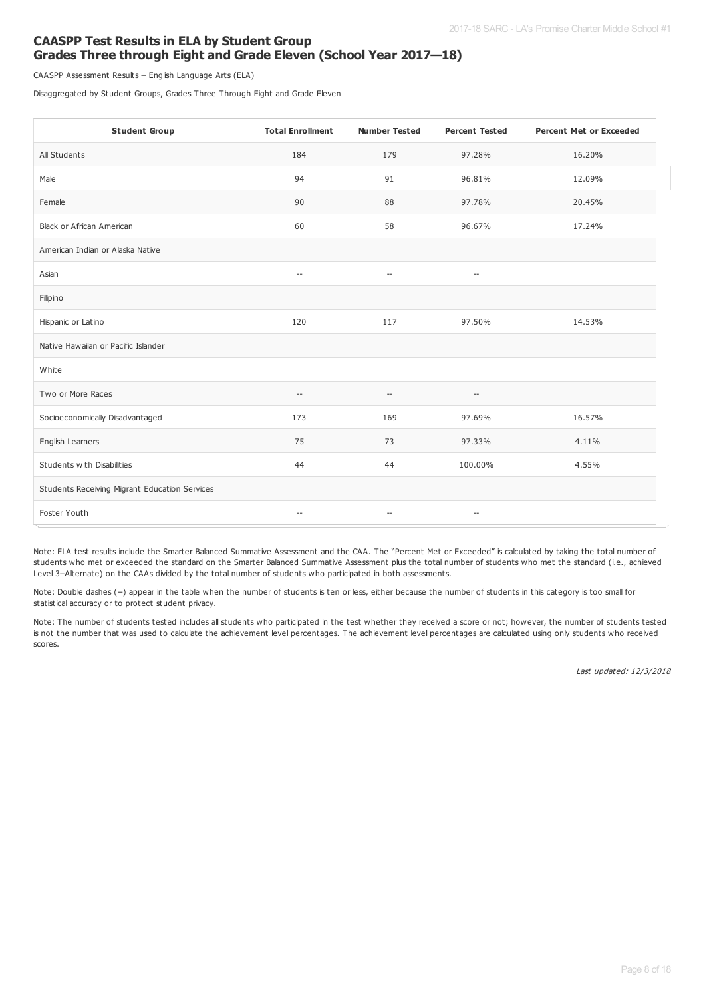### **CAASPP Test Results in ELA by Student Group Grades Three through Eight and Grade Eleven (School Year 2017—18)**

CAASPP Assessment Results – English Language Arts (ELA)

Disaggregated by Student Groups, Grades Three Through Eight and Grade Eleven

| <b>Student Group</b>                          | <b>Total Enrollment</b>                             | <b>Number Tested</b>                                | <b>Percent Tested</b>                               | <b>Percent Met or Exceeded</b> |
|-----------------------------------------------|-----------------------------------------------------|-----------------------------------------------------|-----------------------------------------------------|--------------------------------|
| All Students                                  | 184                                                 | 179                                                 | 97.28%                                              | 16.20%                         |
| Male                                          | 94                                                  | 91                                                  | 96.81%                                              | 12.09%                         |
| Female                                        | 90                                                  | 88                                                  | 97.78%                                              | 20.45%                         |
| Black or African American                     | 60                                                  | 58                                                  | 96.67%                                              | 17.24%                         |
| American Indian or Alaska Native              |                                                     |                                                     |                                                     |                                |
| Asian                                         | $\hspace{0.05cm} -\hspace{0.05cm} -\hspace{0.05cm}$ | $\hspace{0.05cm} -\hspace{0.05cm} -\hspace{0.05cm}$ | $\hspace{0.05cm} -\hspace{0.05cm} -\hspace{0.05cm}$ |                                |
| Filipino                                      |                                                     |                                                     |                                                     |                                |
| Hispanic or Latino                            | 120                                                 | 117                                                 | 97.50%                                              | 14.53%                         |
| Native Hawaiian or Pacific Islander           |                                                     |                                                     |                                                     |                                |
| White                                         |                                                     |                                                     |                                                     |                                |
| Two or More Races                             | $\hspace{0.05cm} -\hspace{0.05cm} -\hspace{0.05cm}$ | $-$                                                 | $-\hbox{--}$                                        |                                |
| Socioeconomically Disadvantaged               | 173                                                 | 169                                                 | 97.69%                                              | 16.57%                         |
| English Learners                              | 75                                                  | 73                                                  | 97.33%                                              | 4.11%                          |
| Students with Disabilities                    | 44                                                  | 44                                                  | 100.00%                                             | 4.55%                          |
| Students Receiving Migrant Education Services |                                                     |                                                     |                                                     |                                |
| Foster Youth                                  | $\hspace{0.05cm} -\hspace{0.05cm}$                  | $\hspace{0.05cm} -\hspace{0.05cm} -\hspace{0.05cm}$ | $-\!$                                               |                                |

Note: ELA test results include the Smarter Balanced Summative Assessment and the CAA. The "Percent Met or Exceeded" is calculated by taking the total number of students who met or exceeded the standard on the Smarter Balanced Summative Assessment plus the total number of students who met the standard (i.e., achieved Level 3–Alternate) on the CAAs divided by the total number of students who participated in both assessments.

Note: Double dashes (--) appear in the table when the number of students is ten or less, either because the number of students in this category is too small for statistical accuracy or to protect student privacy.

Note: The number of students tested includes all students who participated in the test whether they received a score or not; however, the number of students tested is not the number that was used to calculate the achievement level percentages. The achievement level percentages are calculated using only students who received scores.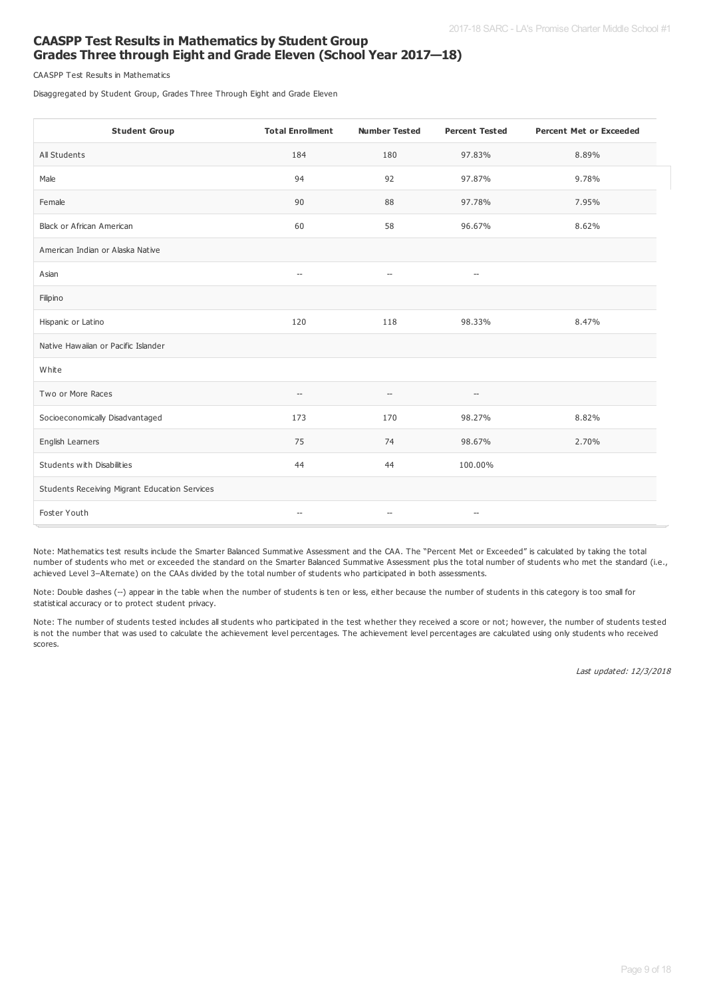### **CAASPP Test Results in Mathematics by Student Group Grades Three through Eight and Grade Eleven (School Year 2017—18)**

CAASPP Test Results in Mathematics

Disaggregated by Student Group, Grades Three Through Eight and Grade Eleven

| <b>Student Group</b>                          | <b>Total Enrollment</b>                             | <b>Number Tested</b>                                | <b>Percent Tested</b>    | <b>Percent Met or Exceeded</b> |
|-----------------------------------------------|-----------------------------------------------------|-----------------------------------------------------|--------------------------|--------------------------------|
| All Students                                  | 184                                                 | 180                                                 | 97.83%                   | 8.89%                          |
| Male                                          | 94                                                  | 92                                                  | 97.87%                   | 9.78%                          |
| Female                                        | 90                                                  | 88                                                  | 97.78%                   | 7.95%                          |
| <b>Black or African American</b>              | 60                                                  | 58                                                  | 96.67%                   | 8.62%                          |
| American Indian or Alaska Native              |                                                     |                                                     |                          |                                |
| Asian                                         | $\hspace{0.05cm} -$                                 | $\overline{\phantom{a}}$                            | $\overline{\phantom{a}}$ |                                |
| Filipino                                      |                                                     |                                                     |                          |                                |
| Hispanic or Latino                            | 120                                                 | 118                                                 | 98.33%                   | 8.47%                          |
| Native Hawaiian or Pacific Islander           |                                                     |                                                     |                          |                                |
| White                                         |                                                     |                                                     |                          |                                |
| Two or More Races                             | $\hspace{0.05cm} -\hspace{0.05cm} -\hspace{0.05cm}$ | $-$                                                 | $-\!$                    |                                |
| Socioeconomically Disadvantaged               | 173                                                 | 170                                                 | 98.27%                   | 8.82%                          |
| English Learners                              | 75                                                  | 74                                                  | 98.67%                   | 2.70%                          |
| Students with Disabilities                    | 44                                                  | 44                                                  | 100.00%                  |                                |
| Students Receiving Migrant Education Services |                                                     |                                                     |                          |                                |
| Foster Youth                                  | $\hspace{0.05cm} -\hspace{0.05cm} -\hspace{0.05cm}$ | $\hspace{0.05cm} -\hspace{0.05cm} -\hspace{0.05cm}$ | $-\!$                    |                                |

Note: Mathematics test results include the Smarter Balanced Summative Assessment and the CAA. The "Percent Met or Exceeded" is calculated by taking the total number of students who met or exceeded the standard on the Smarter Balanced Summative Assessment plus the total number of students who met the standard (i.e., achieved Level 3–Alternate) on the CAAs divided by the total number of students who participated in both assessments.

Note: Double dashes (--) appear in the table when the number of students is ten or less, either because the number of students in this category is too small for statistical accuracy or to protect student privacy.

Note: The number of students tested includes all students who participated in the test whether they received a score or not; however, the number of students tested is not the number that was used to calculate the achievement level percentages. The achievement level percentages are calculated using only students who received scores.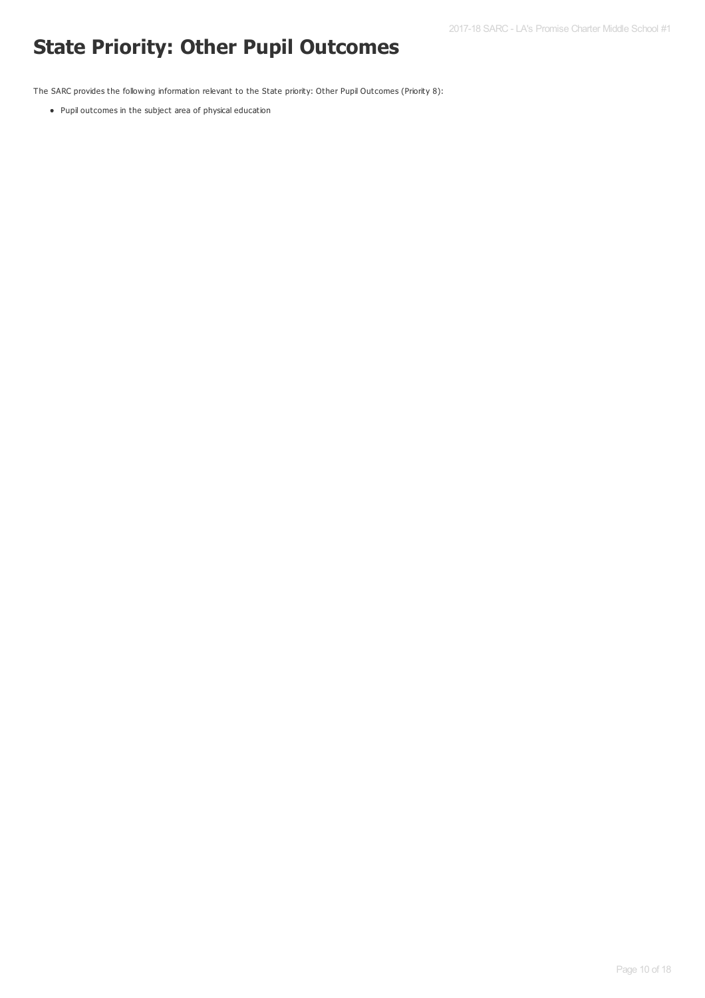# **State Priority: Other Pupil Outcomes**

The SARC provides the following information relevant to the State priority: Other Pupil Outcomes (Priority 8):

Pupil outcomes in the subject area of physical education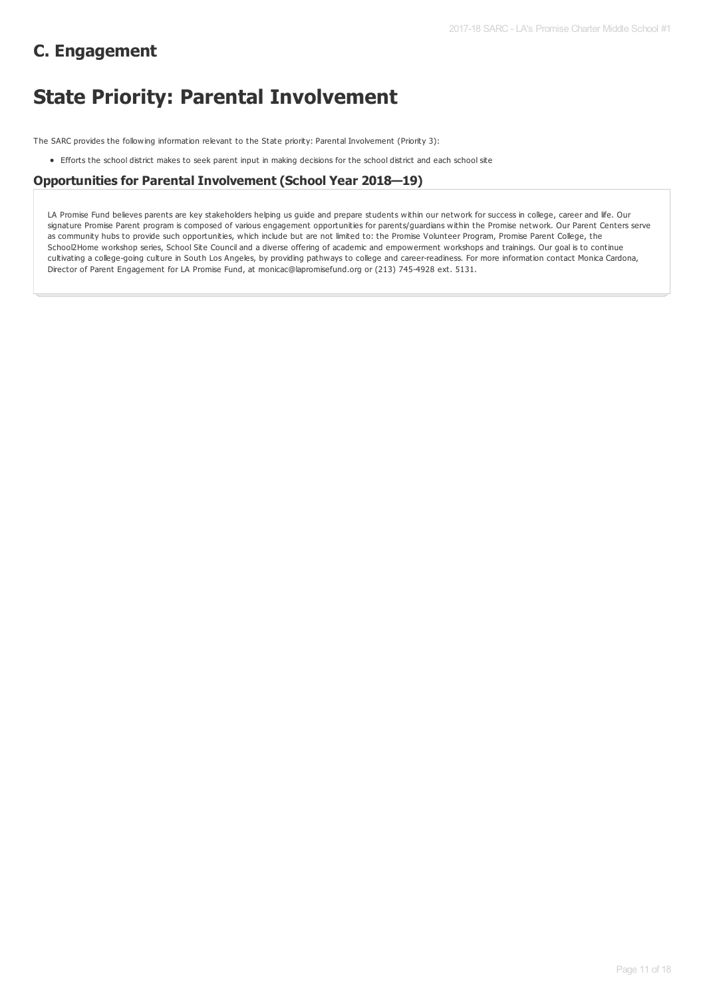# **C. Engagement**

# **State Priority: Parental Involvement**

The SARC provides the following information relevant to the State priority: Parental Involvement (Priority 3):

Efforts the school district makes to seek parent input in making decisions for the school district and each school site

### **Opportunities for Parental Involvement (School Year 2018—19)**

LA Promise Fund believes parents are key stakeholders helping us guide and prepare students within our network for success in college, career and life. Our signature Promise Parent program is composed of various engagement opportunities for parents/guardians within the Promise network. Our Parent Centers serve as community hubs to provide such opportunities, which include but are not limited to: the Promise Volunteer Program, Promise Parent College, the School2Home workshop series, School Site Council and a diverse offering of academic and empowerment workshops and trainings. Our goal is to continue cultivating a college-going culture in South Los Angeles, by providing pathways to college and career-readiness. For more information contact Monica Cardona, Director of Parent Engagement for LA Promise Fund, at monicac@lapromisefund.org or (213) 745-4928 ext. 5131.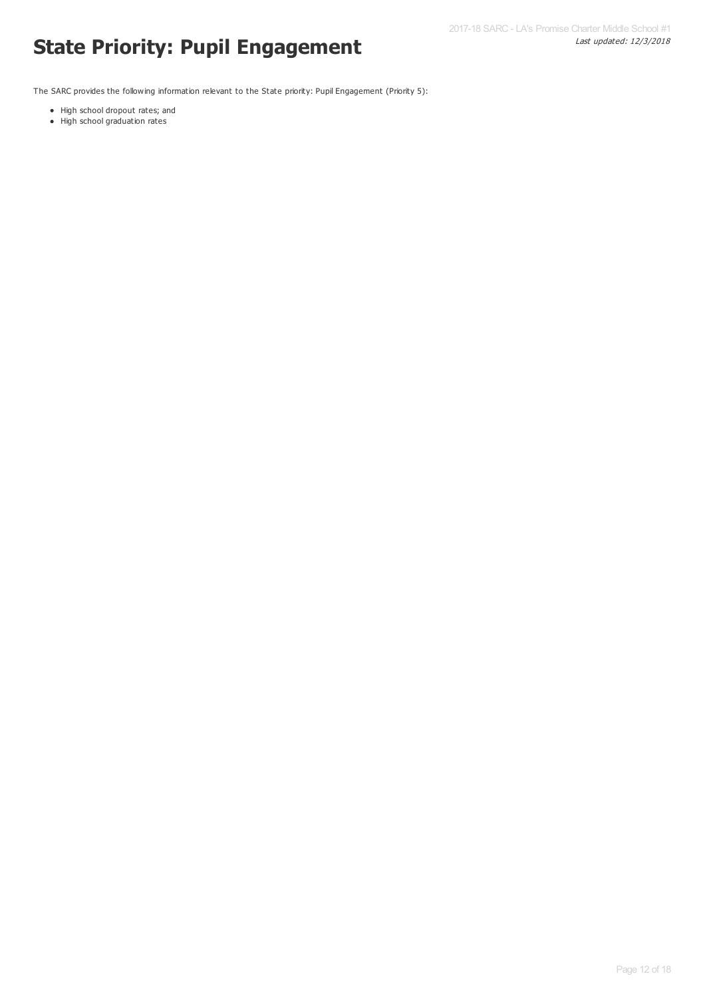# Last updated: 12/3/2018 **State Priority: Pupil Engagement**

The SARC provides the following information relevant to the State priority: Pupil Engagement (Priority 5):

- High school dropout rates; and
- High school graduation rates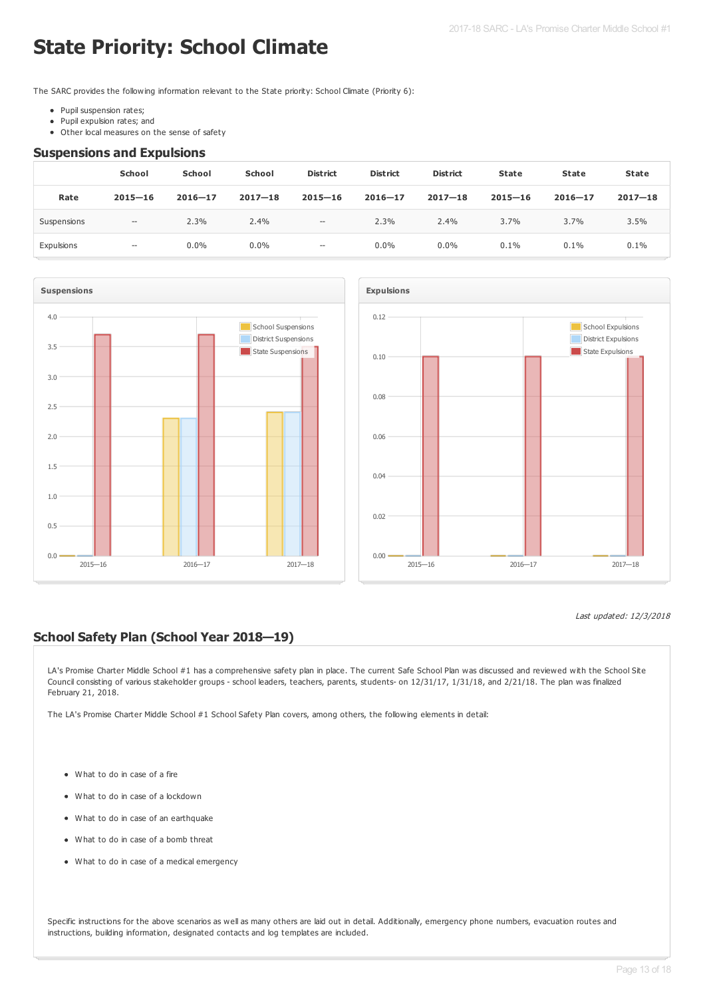# **State Priority: School Climate**

The SARC provides the following information relevant to the State priority: School Climate (Priority 6):

- Pupil suspension rates;
- Pupil expulsion rates; and  $\bullet$
- Other local measures on the sense of safety

#### **Suspensions and Expulsions**

|             | School                                              | <b>School</b> | <b>School</b> | <b>District</b>          | <b>District</b> | <b>District</b> | <b>State</b> | State       | <b>State</b> |
|-------------|-----------------------------------------------------|---------------|---------------|--------------------------|-----------------|-----------------|--------------|-------------|--------------|
| Rate        | $2015 - 16$                                         | $2016 - 17$   | $2017 - 18$   | $2015 - 16$              | $2016 - 17$     | $2017 - 18$     | $2015 - 16$  | $2016 - 17$ | $2017 - 18$  |
| Suspensions | $\hspace{0.05cm} -\hspace{0.05cm} -\hspace{0.05cm}$ | 2.3%          | 2.4%          | $\hspace{0.05cm} -$      | 2.3%            | 2.4%            | 3.7%         | 3.7%        | 3.5%         |
| Expulsions  | $- -$                                               | $0.0\%$       | $0.0\%$       | $\overline{\phantom{a}}$ | $0.0\%$         | $0.0\%$         | 0.1%         | 0.1%        | 0.1%         |





### Last updated: 12/3/2018

### **School Safety Plan (School Year 2018—19)**

LA's Promise Charter Middle School #1 has a comprehensive safety plan in place. The current Safe School Plan was discussed and reviewed with the School Site Council consisting of various stakeholder groups - school leaders, teachers, parents, students- on 12/31/17, 1/31/18, and 2/21/18. The plan was finalized February 21, 2018.

The LA's Promise Charter Middle School #1 School Safety Plan covers, among others, the following elements in detail:

- What to do in case of a fire
- What to do in case of a lockdown
- What to do in case of an earthquake
- What to do in case of a bomb threat
- What to do in case of a medical emergency

Specific instructions for the above scenarios as well as many others are laid out in detail. Additionally, emergency phone numbers, evacuation routes and instructions, building information, designated contacts and log templates are included.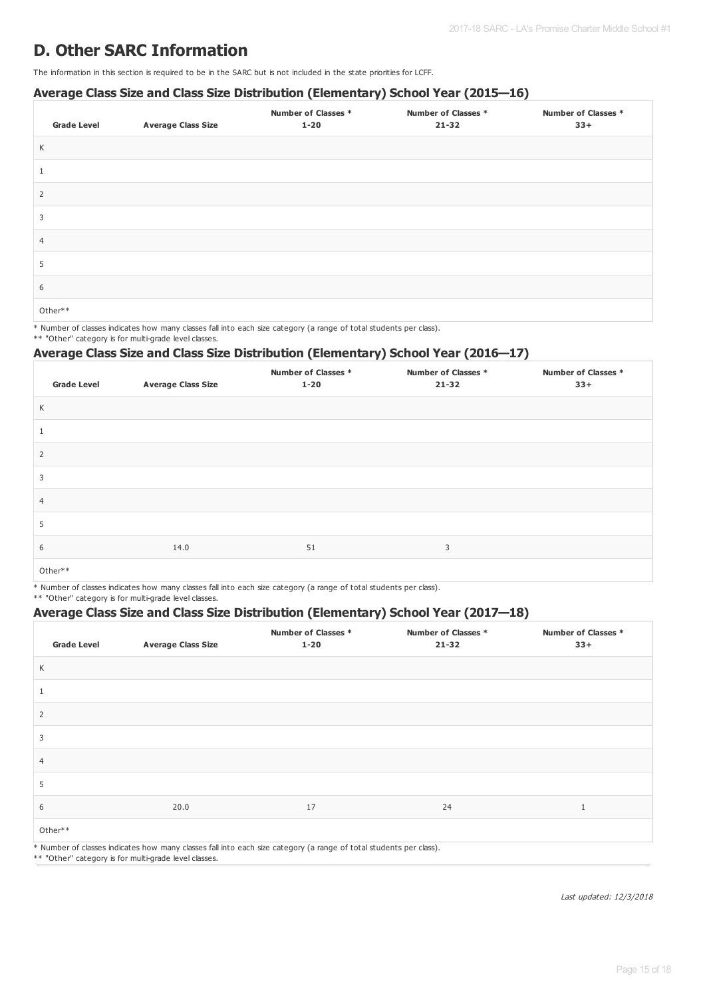## **D. Other SARC Information**

The information in this section is required to be in the SARC but is not included in the state priorities for LCFF.

### **Average Class Size and Class Size Distribution (Elementary) School Year (2015—16)**

| <b>Grade Level</b> | <b>Average Class Size</b> | <b>Number of Classes *</b><br>$1 - 20$ | Number of Classes *<br>$21 - 32$ | <b>Number of Classes *</b><br>$33+$ |
|--------------------|---------------------------|----------------------------------------|----------------------------------|-------------------------------------|
| K                  |                           |                                        |                                  |                                     |
|                    |                           |                                        |                                  |                                     |
| 2                  |                           |                                        |                                  |                                     |
| 3                  |                           |                                        |                                  |                                     |
| $\overline{4}$     |                           |                                        |                                  |                                     |
| 5                  |                           |                                        |                                  |                                     |
| 6                  |                           |                                        |                                  |                                     |
| Other**            |                           |                                        |                                  |                                     |

\* Number of classes indicates how many classes fall into each size category (a range of total students per class).

\*\* "Other" category is for multi-grade level classes.

### **Average Class Size and Class Size Distribution (Elementary) School Year (2016—17)**

| <b>Grade Level</b> | <b>Average Class Size</b> | <b>Number of Classes *</b><br>$1 - 20$ | Number of Classes *<br>$21 - 32$ | <b>Number of Classes *</b><br>$33+$ |
|--------------------|---------------------------|----------------------------------------|----------------------------------|-------------------------------------|
| K                  |                           |                                        |                                  |                                     |
| $\perp$            |                           |                                        |                                  |                                     |
| $\overline{2}$     |                           |                                        |                                  |                                     |
| 3                  |                           |                                        |                                  |                                     |
| $\overline{4}$     |                           |                                        |                                  |                                     |
| 5                  |                           |                                        |                                  |                                     |
| 6                  | 14.0                      | 51                                     | 3                                |                                     |
| Other**            |                           |                                        |                                  |                                     |

\* Number of classes indicates how many classes fall into each size category (a range of total students per class).

\*\* "Other" category is for multi-grade level classes.

### **Average Class Size and Class Size Distribution (Elementary) School Year (2017—18)**

| <b>Grade Level</b> | <b>Average Class Size</b> | Number of Classes *<br>$1 - 20$                                                                                    | Number of Classes *<br>$21 - 32$ | Number of Classes *<br>$33+$ |
|--------------------|---------------------------|--------------------------------------------------------------------------------------------------------------------|----------------------------------|------------------------------|
| K                  |                           |                                                                                                                    |                                  |                              |
|                    |                           |                                                                                                                    |                                  |                              |
| 2                  |                           |                                                                                                                    |                                  |                              |
| 3                  |                           |                                                                                                                    |                                  |                              |
| $\overline{4}$     |                           |                                                                                                                    |                                  |                              |
| 5                  |                           |                                                                                                                    |                                  |                              |
| 6                  | 20.0                      | 17                                                                                                                 | 24                               | $\mathbf{1}$                 |
| Other**            |                           |                                                                                                                    |                                  |                              |
|                    |                           | * Number of classes indicates how many classes fall into each size category (a range of total students per class). |                                  |                              |

\*\* "Other" category is for multi-grade level classes.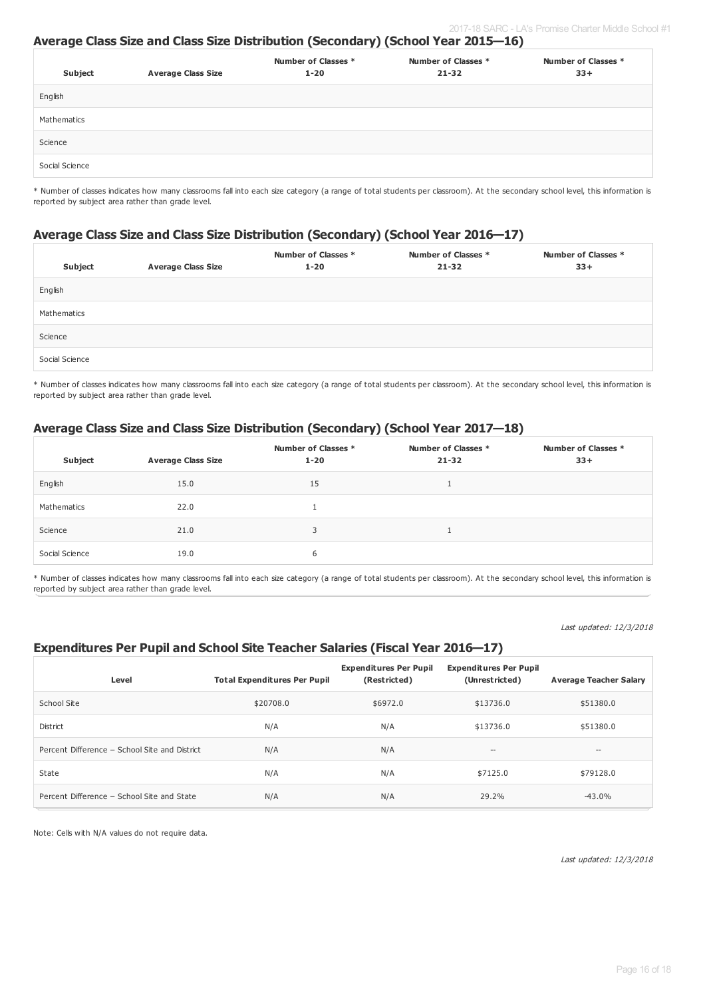### **Average Class Size and Class Size Distribution (Secondary) (School Year 2015—16)**

| Subject        | <b>Average Class Size</b> | Number of Classes *<br>$1 - 20$ | Number of Classes *<br>$21 - 32$ | Number of Classes *<br>$33+$ |
|----------------|---------------------------|---------------------------------|----------------------------------|------------------------------|
| English        |                           |                                 |                                  |                              |
| Mathematics    |                           |                                 |                                  |                              |
| Science        |                           |                                 |                                  |                              |
| Social Science |                           |                                 |                                  |                              |

\* Number of classes indicates how many classrooms fall into each size category (a range of total students per classroom). At the secondary school level, this information is reported by subject area rather than grade level.

### **Average Class Size and Class Size Distribution (Secondary) (School Year 2016—17)**

| Subject        | <b>Average Class Size</b> | Number of Classes *<br>$1 - 20$ | Number of Classes *<br>$21 - 32$ | Number of Classes *<br>$33+$ |
|----------------|---------------------------|---------------------------------|----------------------------------|------------------------------|
| English        |                           |                                 |                                  |                              |
| Mathematics    |                           |                                 |                                  |                              |
| Science        |                           |                                 |                                  |                              |
| Social Science |                           |                                 |                                  |                              |

\* Number of classes indicates how many classrooms fall into each size category (a range of total students per classroom). At the secondary school level, this information is reported by subject area rather than grade level.

### **Average Class Size and Class Size Distribution (Secondary) (School Year 2017—18)**

| Subject        | <b>Average Class Size</b> | Number of Classes *<br>$1 - 20$ | Number of Classes *<br>$21 - 32$ | Number of Classes *<br>$33+$ |
|----------------|---------------------------|---------------------------------|----------------------------------|------------------------------|
| English        | 15.0                      | 15                              |                                  |                              |
| Mathematics    | 22.0                      |                                 |                                  |                              |
| Science        | 21.0                      | 3                               |                                  |                              |
| Social Science | 19.0                      | 6                               |                                  |                              |

\* Number of classes indicates how many classrooms fall into each size category (a range of total students per classroom). At the secondary school level, this information is reported by subject area rather than grade level.

Last updated: 12/3/2018

### **Expenditures Per Pupil and School Site Teacher Salaries (Fiscal Year 2016—17)**

| Level                                         | <b>Total Expenditures Per Pupil</b> | <b>Expenditures Per Pupil</b><br>(Restricted) | <b>Expenditures Per Pupil</b><br>(Unrestricted) | <b>Average Teacher Salary</b> |
|-----------------------------------------------|-------------------------------------|-----------------------------------------------|-------------------------------------------------|-------------------------------|
| School Site                                   | \$20708.0                           | \$6972.0                                      | \$13736.0                                       | \$51380.0                     |
| <b>District</b>                               | N/A                                 | N/A                                           | \$13736.0                                       | \$51380.0                     |
| Percent Difference - School Site and District | N/A                                 | N/A                                           | $\hspace{0.05cm} \ldots$                        | $- -$                         |
| State                                         | N/A                                 | N/A                                           | \$7125.0                                        | \$79128.0                     |
| Percent Difference - School Site and State    | N/A                                 | N/A                                           | 29.2%                                           | $-43.0%$                      |

Note: Cells with N/A values do not require data.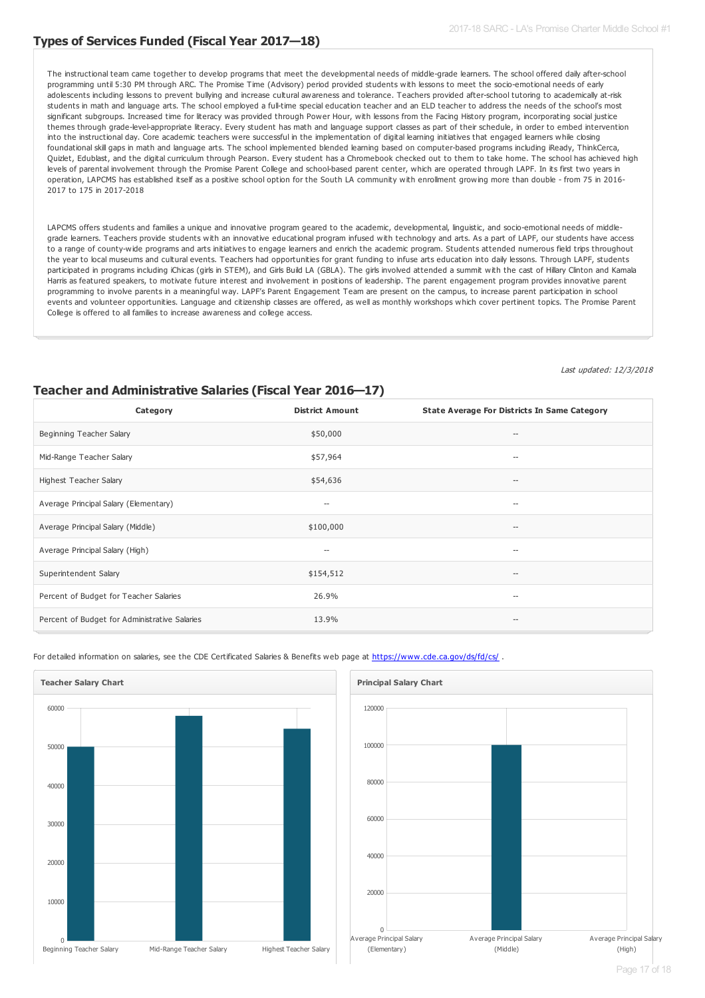### **Types of Services Funded (Fiscal Year 2017—18)**

The instructional team came together to develop programs that meet the developmental needs of middle-grade learners. The school offered daily after-school programming until 5:30 PM through ARC. The Promise Time (Advisory) period provided students with lessons to meet the socio-emotional needs of early adolescents including lessons to prevent bullying and increase cultural awareness and tolerance. Teachers provided after-school tutoring to academically at-risk students in math and language arts. The school employed a full-time special education teacher and an ELD teacher to address the needs of the school's most significant subgroups. Increased time for literacy was provided through Power Hour, with lessons from the Facing History program, incorporating social justice themes through grade-level-appropriate literacy. Every student has math and language support classes as part of their schedule, in order to embed intervention into the instructional day. Core academic teachers were successful in the implementation of digital learning initiatives that engaged learners while closing foundational skill gaps in math and language arts. The school implemented blended learning based on computer-based programs including iReady, ThinkCerca, Quizlet, Edublast, and the digital curriculum through Pearson. Every student has a Chromebook checked out to them to take home. The school has achieved high levels of parental involvement through the Promise Parent College and school-based parent center, which are operated through LAPF. In its first two years in operation, LAPCMS has established itself as a positive school option for the South LA community with enrollment growing more than double - from 75 in 2016- 2017 to 175 in 2017-2018

LAPCMS offers students and families a unique and innovative program geared to the academic, developmental, linguistic, and socio-emotional needs of middlegrade learners. Teachers provide students with an innovative educational program infused with technology and arts. As a part of LAPF, our students have access to a range of county-wide programs and arts initiatives to engage learners and enrich the academic program. Students attended numerous field trips throughout the year to local museums and cultural events. Teachers had opportunities for grant funding to infuse arts education into daily lessons. Through LAPF, students participated in programs including iChicas (girls in STEM), and Girls Build LA (GBLA). The girls involved attended a summit with the cast of Hillary Clinton and Kamala Harris as featured speakers, to motivate future interest and involvement in positions of leadership. The parent engagement program provides innovative parent programming to involve parents in a meaningful way. LAPF's Parent Engagement Team are present on the campus, to increase parent participation in school events and volunteer opportunities. Language and citizenship classes are offered, as well as monthly workshops which cover pertinent topics. The Promise Parent College is offered to all families to increase awareness and college access.

Last updated: 12/3/2018

### **Teacher and Administrative Salaries (Fiscal Year 2016—17)**

| Category                                      | <b>District Amount</b> | <b>State Average For Districts In Same Category</b> |
|-----------------------------------------------|------------------------|-----------------------------------------------------|
| Beginning Teacher Salary                      | \$50,000               | $\qquad \qquad \cdots$                              |
| Mid-Range Teacher Salary                      | \$57,964               | $\hspace{0.05cm}$                                   |
| Highest Teacher Salary                        | \$54,636               | $\hspace{0.05cm}$ – $\hspace{0.05cm}$               |
| Average Principal Salary (Elementary)         | $-\!$                  | $\hspace{0.05cm}$ – $\hspace{0.05cm}$               |
| Average Principal Salary (Middle)             | \$100,000              | $\hspace{0.05cm}$ –                                 |
| Average Principal Salary (High)               | --                     | $\hspace{0.05cm}$                                   |
| Superintendent Salary                         | \$154,512              | $\hspace{0.05cm}$ –                                 |
| Percent of Budget for Teacher Salaries        | 26.9%                  | $\hspace{0.05cm}$                                   |
| Percent of Budget for Administrative Salaries | 13.9%                  | $\hspace{0.05cm}$ –                                 |

For detailed information on salaries, see the CDE Certificated Salaries & Benefits web page at <https://www.cde.ca.gov/ds/fd/cs/>.